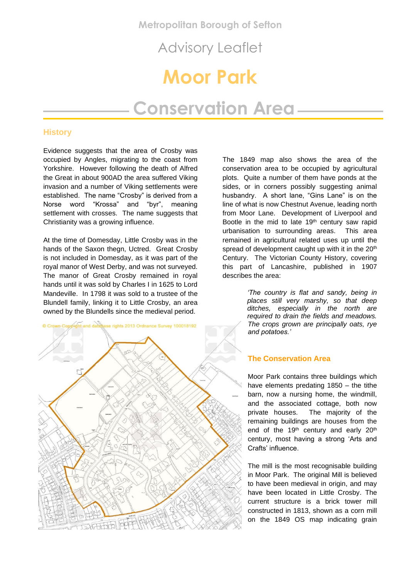**Metropolitan Borough of Sefton**

Advisory Leaflet

# **Moor Park**

## **Conservation Area**

## **History**

Evidence suggests that the area of Crosby was occupied by Angles, migrating to the coast from Yorkshire. However following the death of Alfred the Great in about 900AD the area suffered Viking invasion and a number of Viking settlements were established. The name "Crosby" is derived from a Norse word "Krossa" and "byr", meaning settlement with crosses. The name suggests that Christianity was a growing influence.

At the time of Domesday, Little Crosby was in the hands of the Saxon thegn, Uctred. Great Crosby is not included in Domesday, as it was part of the royal manor of West Derby, and was not surveyed. The manor of Great Crosby remained in royal hands until it was sold by Charles I in 1625 to Lord Mandeville. In 1798 it was sold to a trustee of the Blundell family, linking it to Little Crosby, an area owned by the Blundells since the medieval period.



The 1849 map also shows the area of the conservation area to be occupied by agricultural plots. Quite a number of them have ponds at the sides, or in corners possibly suggesting animal husbandry. A short lane, "Gins Lane" is on the line of what is now Chestnut Avenue, leading north from Moor Lane. Development of Liverpool and Bootle in the mid to late 19<sup>th</sup> century saw rapid urbanisation to surrounding areas. This area remained in agricultural related uses up until the spread of development caught up with it in the 20<sup>th</sup> Century. The Victorian County History, covering this part of Lancashire, published in 1907 describes the area:

> *'The country is flat and sandy, being in places still very marshy, so that deep ditches, especially in the north are required to drain the fields and meadows. The crops grown are principally oats, rye and potatoes.'*

## **The Conservation Area**

Moor Park contains three buildings which have elements predating 1850 – the tithe barn, now a nursing home, the windmill, and the associated cottage, both now private houses. The majority of the remaining buildings are houses from the end of the 19<sup>th</sup> century and early 20<sup>th</sup> century, most having a strong 'Arts and Crafts' influence.

The mill is the most recognisable building in Moor Park. The original Mill is believed to have been medieval in origin, and may have been located in Little Crosby. The current structure is a brick tower mill constructed in 1813, shown as a corn mill on the 1849 OS map indicating grain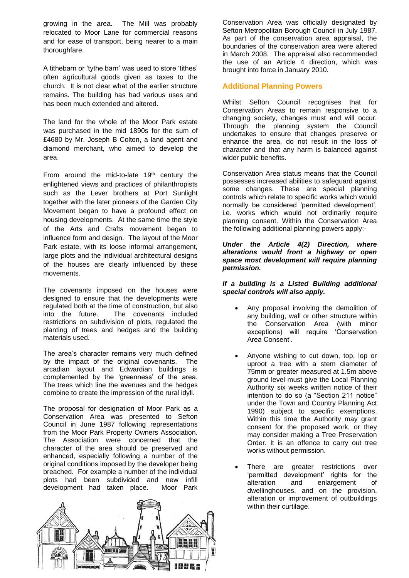growing in the area. The Mill was probably relocated to Moor Lane for commercial reasons and for ease of transport, being nearer to a main thoroughfare.

A tithebarn or 'tythe barn' was used to store 'tithes' often agricultural goods given as taxes to the church. It is not clear what of the earlier structure remains. The building has had various uses and has been much extended and altered.

The land for the whole of the Moor Park estate was purchased in the mid 1890s for the sum of £4680 by Mr. Joseph B Colton, a land agent and diamond merchant, who aimed to develop the area.

From around the mid-to-late  $19<sup>th</sup>$  century the enlightened views and practices of philanthropists such as the Lever brothers at Port Sunlight together with the later pioneers of the Garden City Movement began to have a profound effect on housing developments. At the same time the style of the Arts and Crafts movement began to influence form and design. The layout of the Moor Park estate, with its loose informal arrangement, large plots and the individual architectural designs of the houses are clearly influenced by these movements.

The covenants imposed on the houses were designed to ensure that the developments were regulated both at the time of construction, but also into the future. The covenants included restrictions on subdivision of plots, regulated the planting of trees and hedges and the building materials used.

The area's character remains very much defined by the impact of the original covenants. The arcadian layout and Edwardian buildings is complemented by the 'greenness' of the area. The trees which line the avenues and the hedges combine to create the impression of the rural idyll.

The proposal for designation of Moor Park as a Conservation Area was presented to Sefton Council in June 1987 following representations from the Moor Park Property Owners Association. The Association were concerned that the character of the area should be preserved and enhanced, especially following a number of the original conditions imposed by the developer being breached. For example a number of the individual plots had been subdivided and new infill development had taken place. Moor Park



Conservation Area was officially designated by Sefton Metropolitan Borough Council in July 1987. As part of the conservation area appraisal, the boundaries of the conservation area were altered in March 2008. The appraisal also recommended the use of an Article 4 direction, which was brought into force in January 2010.

## **Additional Planning Powers**

Whilst Sefton Council recognises that for Conservation Areas to remain responsive to a changing society, changes must and will occur. Through the planning system the Council undertakes to ensure that changes preserve or enhance the area, do not result in the loss of character and that any harm is balanced against wider public benefits.

Conservation Area status means that the Council possesses increased abilities to safeguard against some changes. These are special planning controls which relate to specific works which would normally be considered 'permitted development', i.e. works which would not ordinarily require planning consent. Within the Conservation Area the following additional planning powers apply:-

## *Under the Article 4(2) Direction, where alterations would front a highway or open space most development will require planning permission.*

## *If a building is a Listed Building additional special controls will also apply.*

- Any proposal involving the demolition of any building, wall or other structure within the Conservation Area (with minor exceptions) will require 'Conservation Area Consent'.
- Anyone wishing to cut down, top, lop or uproot a tree with a stem diameter of 75mm or greater measured at 1.5m above ground level must give the Local Planning Authority six weeks written notice of their intention to do so (a "Section 211 notice" under the Town and Country Planning Act 1990) subject to specific exemptions. Within this time the Authority may grant consent for the proposed work, or they may consider making a Tree Preservation Order. It is an offence to carry out tree works without permission.
- There are greater restrictions over 'permitted development' rights for the alteration and enlargement of dwellinghouses, and on the provision, alteration or improvement of outbuildings within their curtilage.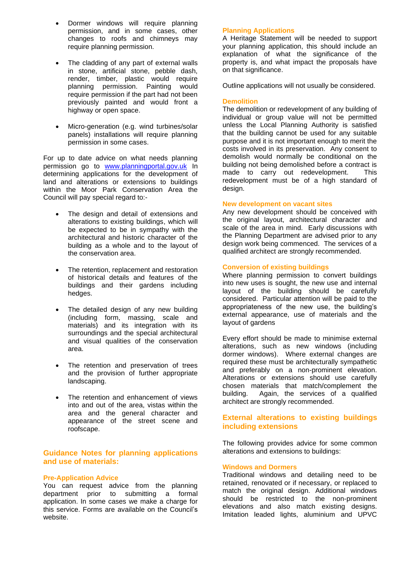- Dormer windows will require planning permission, and in some cases, other changes to roofs and chimneys may require planning permission.
- The cladding of any part of external walls in stone, artificial stone, pebble dash, render, timber, plastic would require planning permission. Painting would require permission if the part had not been previously painted and would front a highway or open space.
- Micro-generation (e.g. wind turbines/solar panels) installations will require planning permission in some cases.

For up to date advice on what needs planning permission go to [www.planningportal.gov.uk](http://www.planningportal.gov.uk/) In determining applications for the development of land and alterations or extensions to buildings within the Moor Park Conservation Area the Council will pay special regard to:-

- The design and detail of extensions and alterations to existing buildings, which will be expected to be in sympathy with the architectural and historic character of the building as a whole and to the layout of the conservation area.
- The retention, replacement and restoration of historical details and features of the buildings and their gardens including hedges.
- The detailed design of any new building (including form, massing, scale and materials) and its integration with its surroundings and the special architectural and visual qualities of the conservation area.
- The retention and preservation of trees and the provision of further appropriate landscaping.
- The retention and enhancement of views into and out of the area, vistas within the area and the general character and appearance of the street scene and roofscape.

## **Guidance Notes for planning applications and use of materials:**

## **Pre-Application Advice**

You can request advice from the planning department prior to submitting a formal application. In some cases we make a charge for this service. Forms are available on the Council's website.

## **Planning Applications**

A Heritage Statement will be needed to support your planning application, this should include an explanation of what the significance of the property is, and what impact the proposals have on that significance.

Outline applications will not usually be considered.

## **Demolition**

The demolition or redevelopment of any building of individual or group value will not be permitted unless the Local Planning Authority is satisfied that the building cannot be used for any suitable purpose and it is not important enough to merit the costs involved in its preservation. Any consent to demolish would normally be conditional on the building not being demolished before a contract is made to carry out redevelopment. This redevelopment must be of a high standard of design.

## **New development on vacant sites**

Any new development should be conceived with the original layout, architectural character and scale of the area in mind. Early discussions with the Planning Department are advised prior to any design work being commenced. The services of a qualified architect are strongly recommended.

## **Conversion of existing buildings**

Where planning permission to convert buildings into new uses is sought, the new use and internal layout of the building should be carefully considered. Particular attention will be paid to the appropriateness of the new use, the building's external appearance, use of materials and the layout of gardens

Every effort should be made to minimise external alterations, such as new windows (including dormer windows). Where external changes are required these must be architecturally sympathetic and preferably on a non-prominent elevation. Alterations or extensions should use carefully chosen materials that match/complement the building. Again, the services of a qualified architect are strongly recommended.

## **External alterations to existing buildings including extensions**

The following provides advice for some common alterations and extensions to buildings:

## **Windows and Dormers**

Traditional windows and detailing need to be retained, renovated or if necessary, or replaced to match the original design. Additional windows should be restricted to the non-prominent elevations and also match existing designs. Imitation leaded lights, aluminium and UPVC